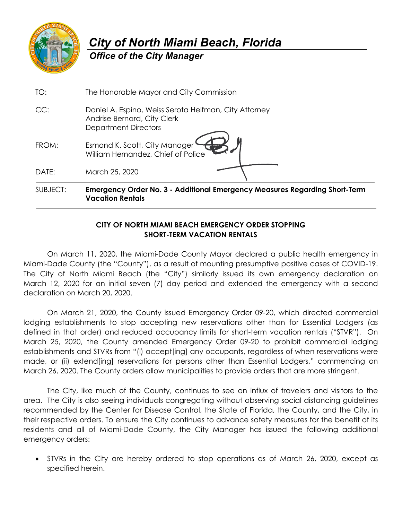

*Office of the City Manager* 

| SUBJECT: | <b>Emergency Order No. 3 - Additional Emergency Measures Regarding Short-Term</b>                                   |
|----------|---------------------------------------------------------------------------------------------------------------------|
| DATE:    | March 25, 2020                                                                                                      |
| FROM:    | Esmond K. Scott, City Manager<br>William Hernandez, Chief of Police                                                 |
| CC:      | Daniel A. Espino, Weiss Serota Helfman, City Attorney<br>Andrise Bernard, City Clerk<br><b>Department Directors</b> |
| TO:      | The Honorable Mayor and City Commission                                                                             |
|          |                                                                                                                     |

**Vacation Rentals**

## **CITY OF NORTH MIAMI BEACH EMERGENCY ORDER STOPPING SHORT-TERM VACATION RENTALS**

On March 11, 2020, the Miami-Dade County Mayor declared a public health emergency in Miami-Dade County (the "County"), as a result of mounting presumptive positive cases of COVID-19. The City of North Miami Beach (the "City") similarly issued its own emergency declaration on March 12, 2020 for an initial seven (7) day period and extended the emergency with a second declaration on March 20, 2020.

On March 21, 2020, the County issued Emergency Order 09-20, which directed commercial lodging establishments to stop accepting new reservations other than for Essential Lodgers (as defined in that order) and reduced occupancy limits for short-term vacation rentals ("STVR"). On March 25, 2020, the County amended Emergency Order 09-20 to prohibit commercial lodging establishments and STVRs from "(i) accept[ing] any occupants, regardless of when reservations were made, or (ii) extend[ing] reservations for persons other than Essential Lodgers," commencing on March 26, 2020. The County orders allow municipalities to provide orders that are more stringent.

The City, like much of the County, continues to see an influx of travelers and visitors to the area. The City is also seeing individuals congregating without observing social distancing guidelines recommended by the Center for Disease Control, the State of Florida, the County, and the City, in their respective orders. To ensure the City continues to advance safety measures for the benefit of its residents and all of Miami-Dade County, the City Manager has issued the following additional emergency orders:

• STVRs in the City are hereby ordered to stop operations as of March 26, 2020, except as specified herein.